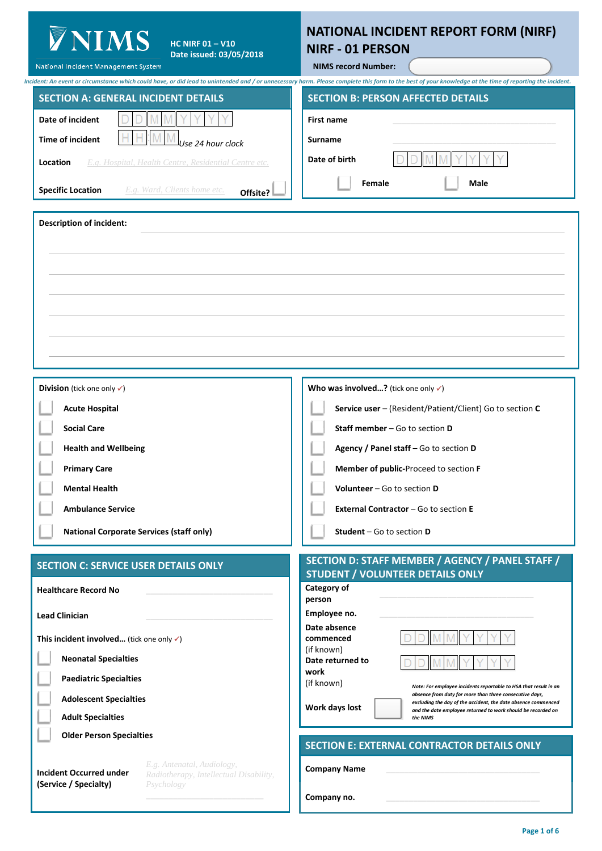| <b>YNIMS</b><br>HC NIRF 01 $-\overline{V10}$<br>Date issued: 03/05/2018<br>National Incident Management System                                                                                                                                                                           | NATIONAL INCIDENT REPORT FORM (NIRF)<br><b>NIRF - 01 PERSON</b><br><b>NIMS record Number:</b>                                                                                                                                                                                                                                                                                                                                                                                                                           |
|------------------------------------------------------------------------------------------------------------------------------------------------------------------------------------------------------------------------------------------------------------------------------------------|-------------------------------------------------------------------------------------------------------------------------------------------------------------------------------------------------------------------------------------------------------------------------------------------------------------------------------------------------------------------------------------------------------------------------------------------------------------------------------------------------------------------------|
| <b>SECTION A: GENERAL INCIDENT DETAILS</b><br>Date of incident<br>Time of incident<br>Jse 24 hour clock<br>E.g. Hospital, Health Centre, Residential Centre etc.<br>Location<br>E.g. Ward, Clients home etc.<br><b>Specific Location</b><br>Offsite?                                     | Incident: An event or circumstance which could have, or did lead to unintended and / or unnecessary harm. Please complete this form to the best of your knowledge at the time of reporting the incident.<br><b>SECTION B: PERSON AFFECTED DETAILS</b><br><b>First name</b><br>Surname<br>Date of birth<br><b>Female</b><br>Male                                                                                                                                                                                         |
| <b>Description of incident:</b>                                                                                                                                                                                                                                                          |                                                                                                                                                                                                                                                                                                                                                                                                                                                                                                                         |
| <b>Division</b> (tick one only $\checkmark$ )<br><b>Acute Hospital</b><br><b>Social Care</b><br><b>Health and Wellbeing</b><br><b>Primary Care</b><br><b>Mental Health</b><br><b>Ambulance Service</b><br><b>National Corporate Services (staff only)</b>                                | Who was involved? (tick one only $\checkmark$ )<br>Service user - (Resident/Patient/Client) Go to section C<br>Staff member - Go to section D<br>Agency / Panel staff - Go to section D<br>Member of public-Proceed to section F<br>Volunteer - Go to section D<br><b>External Contractor - Go to section E</b><br><b>Student</b> $-$ Go to section $D$                                                                                                                                                                 |
| <b>SECTION C: SERVICE USER DETAILS ONLY</b><br><b>Healthcare Record No</b><br><b>Lead Clinician</b><br>This incident involved (tick one only $\checkmark$ )<br><b>Neonatal Specialties</b><br><b>Paediatric Specialties</b><br><b>Adolescent Specialties</b><br><b>Adult Specialties</b> | SECTION D: STAFF MEMBER / AGENCY / PANEL STAFF /<br><b>STUDENT / VOLUNTEER DETAILS ONLY</b><br>Category of<br>person<br>Employee no.<br>Date absence<br>commenced<br>(if known)<br>Date returned to<br>work<br>(if known)<br>Note: For employee incidents reportable to HSA that result in an<br>absence from duty for more than three consecutive days,<br>excluding the day of the accident, the date absence commenced<br>Work days lost<br>and the date employee returned to work should be recorded on<br>the NIMS |
| <b>Older Person Specialties</b><br>E.g. Antenatal, Audiology,<br><b>Incident Occurred under</b><br>Radiotherapy, Intellectual Disability,<br>(Service / Specialty)<br>Psychology                                                                                                         | <b>SECTION E: EXTERNAL CONTRACTOR DETAILS ONLY</b><br><b>Company Name</b><br>Company no.                                                                                                                                                                                                                                                                                                                                                                                                                                |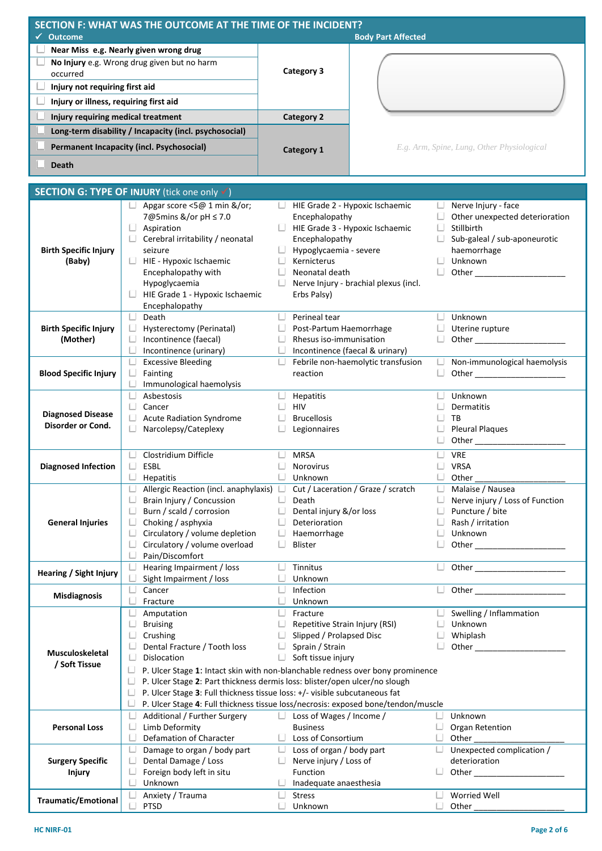| SECTION F: WHAT WAS THE OUTCOME AT THE TIME OF THE INCIDENT?<br><b>Outcome</b><br>✔                                                                                           |                   | <b>Body Part Affected</b>                  |
|-------------------------------------------------------------------------------------------------------------------------------------------------------------------------------|-------------------|--------------------------------------------|
| Near Miss e.g. Nearly given wrong drug<br>No Injury e.g. Wrong drug given but no harm<br>occurred<br>Injury not requiring first aid<br>Injury or illness, requiring first aid | Category 3        |                                            |
| Injury requiring medical treatment                                                                                                                                            | <b>Category 2</b> |                                            |
| Long-term disability / Incapacity (incl. psychosocial)<br>Permanent Incapacity (incl. Psychosocial)<br><b>Death</b>                                                           | Category 1        | E.g. Arm, Spine, Lung, Other Physiological |
| . <i>. .</i>                                                                                                                                                                  |                   |                                            |

|                              |   | SECTION G: TYPE OF INJURY (tick one only v)                                                                                                                     |    |                                            |        |                                    |  |  |  |
|------------------------------|---|-----------------------------------------------------------------------------------------------------------------------------------------------------------------|----|--------------------------------------------|--------|------------------------------------|--|--|--|
|                              |   | Apgar score <5@ 1 min &/or;                                                                                                                                     |    | HIE Grade 2 - Hypoxic Ischaemic            |        | Nerve Injury - face                |  |  |  |
|                              |   | 7@5mins &/or pH ≤ 7.0                                                                                                                                           |    | Encephalopathy                             |        | Other unexpected deterioration     |  |  |  |
|                              |   | Aspiration                                                                                                                                                      |    | HIE Grade 3 - Hypoxic Ischaemic            | ∟      | Stillbirth                         |  |  |  |
|                              |   | Cerebral irritability / neonatal                                                                                                                                |    | Encephalopathy                             |        | Sub-galeal / sub-aponeurotic       |  |  |  |
| <b>Birth Specific Injury</b> |   | seizure                                                                                                                                                         |    | Hypoglycaemia - severe                     |        | haemorrhage                        |  |  |  |
| (Baby)                       |   | $\Box$ HIE - Hypoxic Ischaemic                                                                                                                                  |    | Kernicterus                                | U      | Unknown                            |  |  |  |
|                              |   | Encephalopathy with                                                                                                                                             |    | Neonatal death                             |        |                                    |  |  |  |
|                              |   | Hypoglycaemia                                                                                                                                                   |    | Nerve Injury - brachial plexus (incl.      |        |                                    |  |  |  |
|                              |   | HIE Grade 1 - Hypoxic Ischaemic                                                                                                                                 |    | Erbs Palsy)                                |        |                                    |  |  |  |
|                              |   | Encephalopathy                                                                                                                                                  |    |                                            |        |                                    |  |  |  |
|                              |   | Death                                                                                                                                                           |    | Perineal tear                              | U      | Unknown                            |  |  |  |
| <b>Birth Specific Injury</b> | ш | Hysterectomy (Perinatal)                                                                                                                                        |    | Post-Partum Haemorrhage                    |        | Uterine rupture                    |  |  |  |
| (Mother)                     |   | Incontinence (faecal)                                                                                                                                           |    | Rhesus iso-immunisation                    |        |                                    |  |  |  |
|                              |   | Incontinence (urinary)                                                                                                                                          |    | Incontinence (faecal & urinary)            |        |                                    |  |  |  |
|                              |   | <b>Excessive Bleeding</b>                                                                                                                                       | ◡  | Febrile non-haemolytic transfusion         | L.     | Non-immunological haemolysis       |  |  |  |
| <b>Blood Specific Injury</b> | ⊔ | Fainting                                                                                                                                                        |    | reaction                                   | □.     |                                    |  |  |  |
|                              |   | Immunological haemolysis                                                                                                                                        |    |                                            |        |                                    |  |  |  |
|                              |   | Asbestosis                                                                                                                                                      | U. | Hepatitis                                  | U      | Unknown                            |  |  |  |
|                              |   | Cancer                                                                                                                                                          |    | <b>HIV</b>                                 |        | <b>Dermatitis</b>                  |  |  |  |
| <b>Diagnosed Disease</b>     |   | <b>Acute Radiation Syndrome</b>                                                                                                                                 |    | <b>Brucellosis</b>                         |        | TB                                 |  |  |  |
| Disorder or Cond.            |   | Narcolepsy/Cateplexy                                                                                                                                            |    | Legionnaires                               |        | <b>Pleural Plaques</b>             |  |  |  |
|                              |   |                                                                                                                                                                 |    |                                            |        |                                    |  |  |  |
|                              |   |                                                                                                                                                                 |    |                                            |        |                                    |  |  |  |
|                              | L | Clostridium Difficle                                                                                                                                            |    | <b>MRSA</b>                                |        | <b>VRE</b>                         |  |  |  |
| <b>Diagnosed Infection</b>   |   | ESBL                                                                                                                                                            |    | Norovirus                                  |        | <b>VRSA</b>                        |  |  |  |
|                              |   | Hepatitis                                                                                                                                                       |    | Unknown                                    | $\Box$ | Other                              |  |  |  |
|                              |   | Allergic Reaction (incl. anaphylaxis)                                                                                                                           |    | Cut / Laceration / Graze / scratch         | U.     | Malaise / Nausea                   |  |  |  |
|                              |   | Brain Injury / Concussion                                                                                                                                       |    | Death                                      |        | Nerve injury / Loss of Function    |  |  |  |
|                              |   | Burn / scald / corrosion                                                                                                                                        |    | Dental injury &/or loss                    |        | Puncture / bite                    |  |  |  |
| <b>General Injuries</b>      |   | Choking / asphyxia                                                                                                                                              |    | Deterioration                              |        | Rash / irritation                  |  |  |  |
|                              |   | Circulatory / volume depletion                                                                                                                                  |    | Haemorrhage<br>Blister                     |        | Unknown                            |  |  |  |
|                              |   | Circulatory / volume overload<br>Pain/Discomfort                                                                                                                |    |                                            |        |                                    |  |  |  |
|                              |   |                                                                                                                                                                 |    |                                            | U      |                                    |  |  |  |
| Hearing / Sight Injury       |   | Hearing Impairment / loss<br>Sight Impairment / loss                                                                                                            |    | Tinnitus<br>Unknown                        |        |                                    |  |  |  |
|                              |   | Cancer                                                                                                                                                          |    | Infection                                  | ◡      |                                    |  |  |  |
| <b>Misdiagnosis</b>          |   | Fracture                                                                                                                                                        |    | Unknown                                    |        |                                    |  |  |  |
|                              |   |                                                                                                                                                                 |    |                                            |        |                                    |  |  |  |
|                              |   | Amputation                                                                                                                                                      |    | Fracture<br>Repetitive Strain Injury (RSI) |        | Swelling / Inflammation<br>Unknown |  |  |  |
|                              |   | <b>Bruising</b><br>Crushing                                                                                                                                     |    | Slipped / Prolapsed Disc                   |        | $\Box$ Whiplash                    |  |  |  |
|                              |   | Dental Fracture / Tooth loss                                                                                                                                    |    | Sprain / Strain                            |        | Other                              |  |  |  |
| <b>Musculoskeletal</b>       |   |                                                                                                                                                                 |    |                                            |        |                                    |  |  |  |
| / Soft Tissue                |   | Soft tissue injury<br>Dislocation                                                                                                                               |    |                                            |        |                                    |  |  |  |
|                              |   | P. Ulcer Stage 1: Intact skin with non-blanchable redness over bony prominence<br>P. Ulcer Stage 2: Part thickness dermis loss: blister/open ulcer/no slough    |    |                                            |        |                                    |  |  |  |
|                              |   |                                                                                                                                                                 |    |                                            |        |                                    |  |  |  |
|                              |   | P. Ulcer Stage 3: Full thickness tissue loss: +/- visible subcutaneous fat<br>P. Ulcer Stage 4: Full thickness tissue loss/necrosis: exposed bone/tendon/muscle |    |                                            |        |                                    |  |  |  |
|                              |   |                                                                                                                                                                 |    |                                            |        |                                    |  |  |  |
|                              |   | Additional / Further Surgery                                                                                                                                    |    | Loss of Wages / Income /                   |        | Unknown                            |  |  |  |
| <b>Personal Loss</b>         | L | Limb Deformity                                                                                                                                                  |    | <b>Business</b>                            |        | Organ Retention                    |  |  |  |
|                              |   | Defamation of Character                                                                                                                                         |    | Loss of Consortium                         |        | Other                              |  |  |  |
|                              |   | Damage to organ / body part                                                                                                                                     |    | Loss of organ / body part                  |        | Unexpected complication /          |  |  |  |
| <b>Surgery Specific</b>      |   | Dental Damage / Loss                                                                                                                                            |    | Nerve injury / Loss of                     |        | deterioration                      |  |  |  |
| <b>Injury</b>                |   | Foreign body left in situ                                                                                                                                       |    | Function                                   |        | Other                              |  |  |  |
|                              |   | Unknown                                                                                                                                                         |    | Inadequate anaesthesia                     |        |                                    |  |  |  |
| <b>Traumatic/Emotional</b>   |   | Anxiety / Trauma                                                                                                                                                |    | <b>Stress</b>                              |        | Worried Well                       |  |  |  |
|                              |   | <b>PTSD</b>                                                                                                                                                     |    | Unknown                                    |        | Other                              |  |  |  |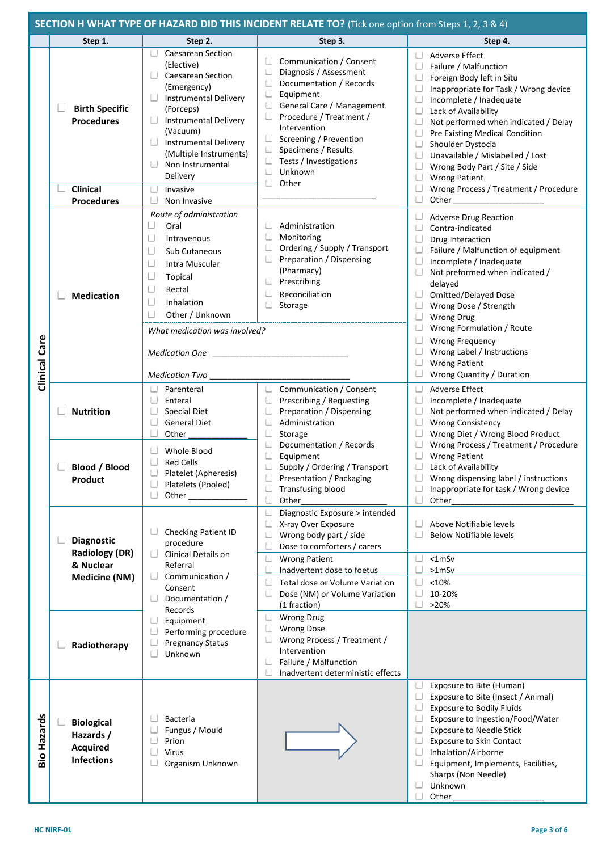|                | <b>SECTION H WHAT TYPE OF HAZARD DID THIS INCIDENT RELATE TO?</b> (Tick one option from Steps 1, 2, 3 & 4) |                                                                                                                                                                                                                                                                                                  |                                                                                                                                                                                                                                                                            |                                                                                                                                                                                                                                                                                                                                                                                                                                                                                                                                                                                                                                                                              |  |  |
|----------------|------------------------------------------------------------------------------------------------------------|--------------------------------------------------------------------------------------------------------------------------------------------------------------------------------------------------------------------------------------------------------------------------------------------------|----------------------------------------------------------------------------------------------------------------------------------------------------------------------------------------------------------------------------------------------------------------------------|------------------------------------------------------------------------------------------------------------------------------------------------------------------------------------------------------------------------------------------------------------------------------------------------------------------------------------------------------------------------------------------------------------------------------------------------------------------------------------------------------------------------------------------------------------------------------------------------------------------------------------------------------------------------------|--|--|
|                | Step 1.                                                                                                    | Step 2.                                                                                                                                                                                                                                                                                          | Step 3.                                                                                                                                                                                                                                                                    | Step 4.                                                                                                                                                                                                                                                                                                                                                                                                                                                                                                                                                                                                                                                                      |  |  |
| Clinical Care  | <b>Birth Specific</b><br><b>Procedures</b><br>Clinical<br><b>Procedures</b>                                | <b>Caesarean Section</b><br>(Elective)<br><b>Caesarean Section</b><br>(Emergency)<br>$\Box$ Instrumental Delivery<br>(Forceps)<br><b>Instrumental Delivery</b><br>(Vacuum)<br>$\Box$ Instrumental Delivery<br>(Multiple Instruments)<br>Non Instrumental<br>Delivery<br>Invasive<br>Non Invasive | Communication / Consent<br>Diagnosis / Assessment<br>Documentation / Records<br>Equipment<br>General Care / Management<br>ш<br>Procedure / Treatment /<br>Intervention<br>Screening / Prevention<br>Specimens / Results<br>Tests / Investigations<br>Unknown<br>ш<br>Other | <b>Adverse Effect</b><br>Failure / Malfunction<br>Foreign Body left in Situ<br>Inappropriate for Task / Wrong device<br>Incomplete / Inadequate<br>$\Box$<br>Lack of Availability<br>$\Box$<br>Not performed when indicated / Delay<br>Pre Existing Medical Condition<br>Shoulder Dystocia<br>Unavailable / Mislabelled / Lost<br>Wrong Body Part / Site / Side<br>$\Box$<br><b>Wrong Patient</b><br>Wrong Process / Treatment / Procedure<br>Other the contract of the contract of the contract of the contract of the contract of the contract of the contract of the contract of the contract of the contract of the contract of the contract of the contract of the cont |  |  |
|                | <b>Medication</b>                                                                                          | Route of administration<br>Ц<br>Oral<br>L<br>Intravenous<br>L<br>Sub Cutaneous<br>L<br>Intra Muscular<br>L<br>Topical<br>Rectal<br>L<br>Inhalation<br>L<br>Other / Unknown<br>What medication was involved?<br><b>Medication One</b><br><b>Medication Two</b>                                    | Administration<br>Monitoring<br>Ordering / Supply / Transport<br>Preparation / Dispensing<br>(Pharmacy)<br>Prescribing<br>Reconciliation<br>Storage                                                                                                                        | U<br><b>Adverse Drug Reaction</b><br>Contra-indicated<br>Drug Interaction<br>Failure / Malfunction of equipment<br>Incomplete / Inadequate<br>Not preformed when indicated /<br>delayed<br><b>Omitted/Delayed Dose</b><br>L<br>Wrong Dose / Strength<br>$\Box$<br><b>Wrong Drug</b><br>Wrong Formulation / Route<br><b>Wrong Frequency</b><br>Wrong Label / Instructions<br><b>Wrong Patient</b><br>Wrong Quantity / Duration                                                                                                                                                                                                                                                |  |  |
|                | <b>Nutrition</b>                                                                                           | Parenteral<br>Enteral<br><b>Special Diet</b><br><b>General Diet</b><br>Other                                                                                                                                                                                                                     | U<br>Communication / Consent<br>Prescribing / Requesting<br>Preparation / Dispensing<br>Administration<br>Storage                                                                                                                                                          | Adverse Effect<br>◡<br>∟<br>Incomplete / Inadequate<br>Not performed when indicated / Delay<br><b>Wrong Consistency</b><br>Wrong Diet / Wrong Blood Product<br>Wrong Process / Treatment / Procedure                                                                                                                                                                                                                                                                                                                                                                                                                                                                         |  |  |
|                | <b>Blood / Blood</b><br>Product                                                                            | Whole Blood<br><b>Red Cells</b><br>Platelet (Apheresis)<br>∟<br>Platelets (Pooled)<br>$\Box$<br>Other                                                                                                                                                                                            | Documentation / Records<br>Equipment<br>Supply / Ordering / Transport<br>Presentation / Packaging<br><b>Transfusing blood</b><br>Other                                                                                                                                     | <b>Wrong Patient</b><br>Lack of Availability<br>Wrong dispensing label / instructions<br>Inappropriate for task / Wrong device<br>Other                                                                                                                                                                                                                                                                                                                                                                                                                                                                                                                                      |  |  |
|                | <b>Diagnostic</b><br><b>Radiology (DR)</b><br>& Nuclear<br><b>Medicine (NM)</b>                            | Checking Patient ID<br>procedure<br><b>Clinical Details on</b><br>Referral<br>Communication /<br>Consent<br>Documentation /                                                                                                                                                                      | Diagnostic Exposure > intended<br>X-ray Over Exposure<br>Wrong body part / side<br>Dose to comforters / carers<br><b>Wrong Patient</b><br>Inadvertent dose to foetus<br>Total dose or Volume Variation<br>Dose (NM) or Volume Variation<br>(1 fraction)                    | Above Notifiable levels<br><b>Below Notifiable levels</b><br>$< 1m$ Sv<br>$>1m$ Sv<br><10%<br>10-20%<br>>20%                                                                                                                                                                                                                                                                                                                                                                                                                                                                                                                                                                 |  |  |
|                | Radiotherapy                                                                                               | Records<br>Equipment<br>Performing procedure<br><b>Pregnancy Status</b><br>Unknown                                                                                                                                                                                                               | <b>Wrong Drug</b><br><b>Wrong Dose</b><br>Wrong Process / Treatment /<br>Intervention<br>Failure / Malfunction<br>Inadvertent deterministic effects                                                                                                                        |                                                                                                                                                                                                                                                                                                                                                                                                                                                                                                                                                                                                                                                                              |  |  |
| Hazards<br>oig | <b>Biological</b><br>Hazards /<br><b>Acquired</b><br><b>Infections</b>                                     | Bacteria<br>Fungus / Mould<br>Prion<br>Virus<br>Organism Unknown                                                                                                                                                                                                                                 |                                                                                                                                                                                                                                                                            | Exposure to Bite (Human)<br>Exposure to Bite (Insect / Animal)<br><b>Exposure to Bodily Fluids</b><br>Exposure to Ingestion/Food/Water<br><b>Exposure to Needle Stick</b><br><b>Exposure to Skin Contact</b><br>Inhalation/Airborne<br>Equipment, Implements, Facilities,<br>Sharps (Non Needle)<br>Unknown<br>Other                                                                                                                                                                                                                                                                                                                                                         |  |  |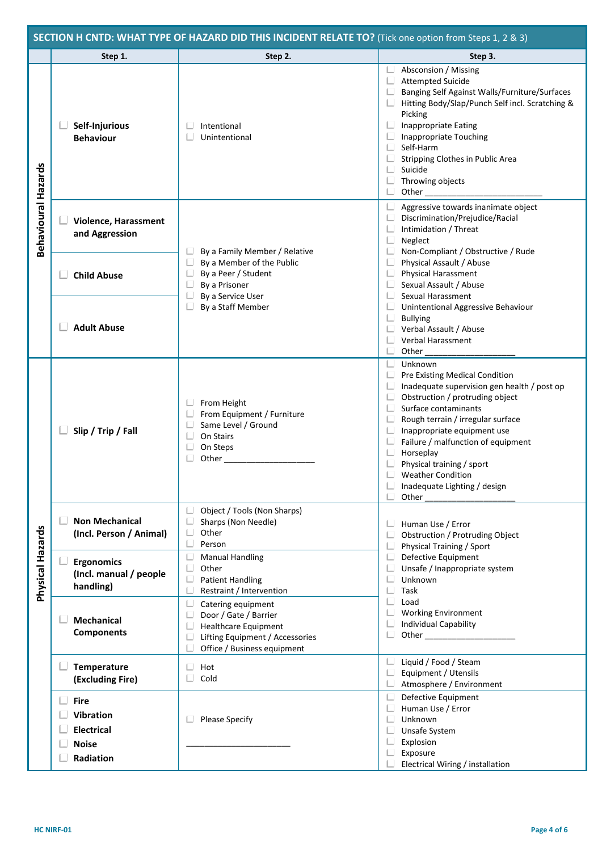|                            | SECTION H CNTD: WHAT TYPE OF HAZARD DID THIS INCIDENT RELATE TO? (Tick one option from Steps 1, 2 & 3) |                                                                                                                                              |                                                                                                                                                                                                                                                                                                                                                                                                                                                                |  |  |  |
|----------------------------|--------------------------------------------------------------------------------------------------------|----------------------------------------------------------------------------------------------------------------------------------------------|----------------------------------------------------------------------------------------------------------------------------------------------------------------------------------------------------------------------------------------------------------------------------------------------------------------------------------------------------------------------------------------------------------------------------------------------------------------|--|--|--|
|                            | Step 1.                                                                                                | Step 2.                                                                                                                                      | Step 3.                                                                                                                                                                                                                                                                                                                                                                                                                                                        |  |  |  |
| <b>Behavioural Hazards</b> | Self-Injurious<br><b>Behaviour</b>                                                                     | Intentional<br>Unintentional                                                                                                                 | $\Box$ Absconsion / Missing<br>$\Box$ Attempted Suicide<br>$\Box$<br>Banging Self Against Walls/Furniture/Surfaces<br>Hitting Body/Slap/Punch Self incl. Scratching &<br>Picking<br>Inappropriate Eating<br>◡<br><b>Inappropriate Touching</b><br>$\Box$<br>$\Box$ Self-Harm<br>$\Box$<br>Stripping Clothes in Public Area<br>$\Box$<br>Suicide<br>$\Box$<br>Throwing objects<br>$\Box$<br>Other $\_$                                                          |  |  |  |
|                            | Violence, Harassment<br>and Aggression                                                                 | By a Family Member / Relative                                                                                                                | Aggressive towards inanimate object<br>$\Box$<br>$\Box$<br>Discrimination/Prejudice/Racial<br>Intimidation / Threat<br>$\Box$<br>$\Box$<br>Neglect<br>$\Box$<br>Non-Compliant / Obstructive / Rude                                                                                                                                                                                                                                                             |  |  |  |
|                            | <b>Child Abuse</b>                                                                                     | $\Box$<br>By a Member of the Public<br>$\Box$<br>By a Peer / Student<br>By a Prisoner<br>By a Service User                                   | $\Box$<br>Physical Assault / Abuse<br>$\Box$<br>Physical Harassment<br>ш<br>Sexual Assault / Abuse<br>$\Box$<br>Sexual Harassment                                                                                                                                                                                                                                                                                                                              |  |  |  |
|                            | <b>Adult Abuse</b>                                                                                     | By a Staff Member                                                                                                                            | $\Box$<br>Unintentional Aggressive Behaviour<br>$\Box$<br><b>Bullying</b><br>$\Box$ Verbal Assault / Abuse<br>$\Box$<br>Verbal Harassment<br>$\Box$<br>Other $\_\_$                                                                                                                                                                                                                                                                                            |  |  |  |
|                            | Slip / Trip / Fall                                                                                     | From Height<br>From Equipment / Furniture<br>Same Level / Ground<br>On Stairs<br>On Steps<br>Other                                           | $\Box$<br>Unknown<br>$\Box$<br>Pre Existing Medical Condition<br>Inadequate supervision gen health / post op<br>$\Box$<br>Obstruction / protruding object<br>$\Box$ Surface contaminants<br>$\Box$<br>Rough terrain / irregular surface<br>$\Box$<br>Inappropriate equipment use<br>Failure / malfunction of equipment<br>◡<br>Horseplay<br>$\Box$<br>Physical training / sport<br>$\Box$ Weather Condition<br>Inadequate Lighting / design<br>$\Box$<br>Other |  |  |  |
|                            | <b>Non Mechanical</b><br>(Incl. Person / Animal)                                                       | Object / Tools (Non Sharps)<br>Sharps (Non Needle)<br>Other<br>Person                                                                        | Human Use / Error<br>∟.<br>Obstruction / Protruding Object<br>$\Box$<br>$\Box$<br>Physical Training / Sport                                                                                                                                                                                                                                                                                                                                                    |  |  |  |
| Physical Hazards           | <b>Ergonomics</b><br>(Incl. manual / people<br>handling)                                               | <b>Manual Handling</b><br>Other<br><b>Patient Handling</b><br>Restraint / Intervention                                                       | $\Box$<br>Defective Equipment<br>Unsafe / Inappropriate system<br>∟<br>$\Box$<br>Unknown<br>$\Box$<br>Task                                                                                                                                                                                                                                                                                                                                                     |  |  |  |
|                            | <b>Mechanical</b><br><b>Components</b>                                                                 | Catering equipment<br>Door / Gate / Barrier<br><b>Healthcare Equipment</b><br>Lifting Equipment / Accessories<br>Office / Business equipment | $\Box$<br>Load<br>$\Box$<br><b>Working Environment</b><br><b>Individual Capability</b><br>$\Box$<br>$\Box$                                                                                                                                                                                                                                                                                                                                                     |  |  |  |
|                            | Temperature<br>(Excluding Fire)                                                                        | Hot<br>Cold                                                                                                                                  | $\Box$<br>Liquid / Food / Steam<br>$\Box$<br>Equipment / Utensils<br>◡<br>Atmosphere / Environment                                                                                                                                                                                                                                                                                                                                                             |  |  |  |
|                            | <b>Fire</b><br><b>Vibration</b><br><b>Electrical</b><br><b>Noise</b><br>Radiation                      | <b>Please Specify</b>                                                                                                                        | L<br>Defective Equipment<br>Human Use / Error<br>∟<br>Unknown<br>Unsafe System<br>Ш<br>Explosion<br>$\Box$<br>Exposure<br>Electrical Wiring / installation                                                                                                                                                                                                                                                                                                     |  |  |  |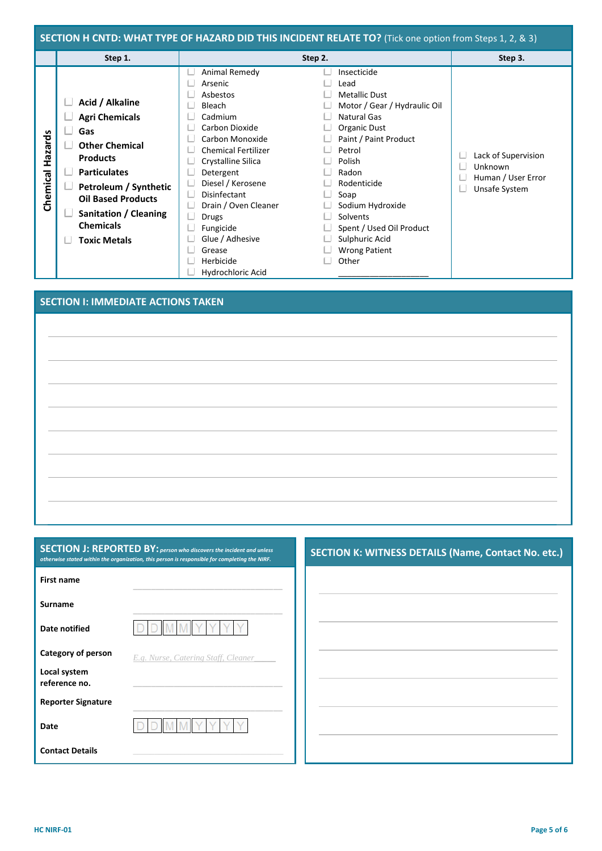| SECTION H CNTD: WHAT TYPE OF HAZARD DID THIS INCIDENT RELATE TO? (Tick one option from Steps 1, 2, & 3) |                                                                                                                                                                                                                                              |                                                                                                                                                                                                                                                                                                                          |                                                                                                                                                                                                                                                                                                        |                                                                       |  |
|---------------------------------------------------------------------------------------------------------|----------------------------------------------------------------------------------------------------------------------------------------------------------------------------------------------------------------------------------------------|--------------------------------------------------------------------------------------------------------------------------------------------------------------------------------------------------------------------------------------------------------------------------------------------------------------------------|--------------------------------------------------------------------------------------------------------------------------------------------------------------------------------------------------------------------------------------------------------------------------------------------------------|-----------------------------------------------------------------------|--|
|                                                                                                         | Step 1.                                                                                                                                                                                                                                      | Step 2.                                                                                                                                                                                                                                                                                                                  |                                                                                                                                                                                                                                                                                                        | Step 3.                                                               |  |
| Hazards<br>Chemical                                                                                     | Acid / Alkaline<br><b>Agri Chemicals</b><br>Gas<br><b>Other Chemical</b><br><b>Products</b><br><b>Particulates</b><br>Petroleum / Synthetic<br><b>Oil Based Products</b><br>Sanitation / Cleaning<br><b>Chemicals</b><br><b>Toxic Metals</b> | Animal Remedy<br>Arsenic<br>Asbestos<br>Bleach<br>Cadmium<br>Carbon Dioxide<br>Carbon Monoxide<br><b>Chemical Fertilizer</b><br>Crystalline Silica<br>Detergent<br>Diesel / Kerosene<br><b>Disinfectant</b><br>Drain / Oven Cleaner<br>Drugs<br>Fungicide<br>Glue / Adhesive<br>Grease<br>Herbicide<br>Hydrochloric Acid | Insecticide<br>Lead<br><b>Metallic Dust</b><br>Motor / Gear / Hydraulic Oil<br>Natural Gas<br>Organic Dust<br>Paint / Paint Product<br>Petrol<br>Polish<br>Radon<br>Rodenticide<br>Soap<br>Sodium Hydroxide<br>Solvents<br>Spent / Used Oil Product<br>Sulphuric Acid<br><b>Wrong Patient</b><br>Other | Lack of Supervision<br>Unknown<br>Human / User Error<br>Unsafe System |  |

## **SECTION I: IMMEDIATE ACTIONS TAKEN**

| <b>SECTION J: REPORTED BY:</b> person who discovers the incident and unless                   |
|-----------------------------------------------------------------------------------------------|
| otherwise stated within the organization, this person is responsible for completing the NIRF. |
|                                                                                               |

**SECTION K: WITNESS DETAILS (Name, Contact No. etc.)**

|                               | <u>uncrease stated minim the organization, this person is responsible for completing the ruli :</u> |  |
|-------------------------------|-----------------------------------------------------------------------------------------------------|--|
| First name                    |                                                                                                     |  |
| <b>Surname</b>                |                                                                                                     |  |
| <b>Date notified</b>          |                                                                                                     |  |
| Category of person            | E.g. Nurse, Catering Staff, Cleaner                                                                 |  |
| Local system<br>reference no. |                                                                                                     |  |
| <b>Reporter Signature</b>     |                                                                                                     |  |
| Date                          |                                                                                                     |  |
| <b>Contact Details</b>        |                                                                                                     |  |